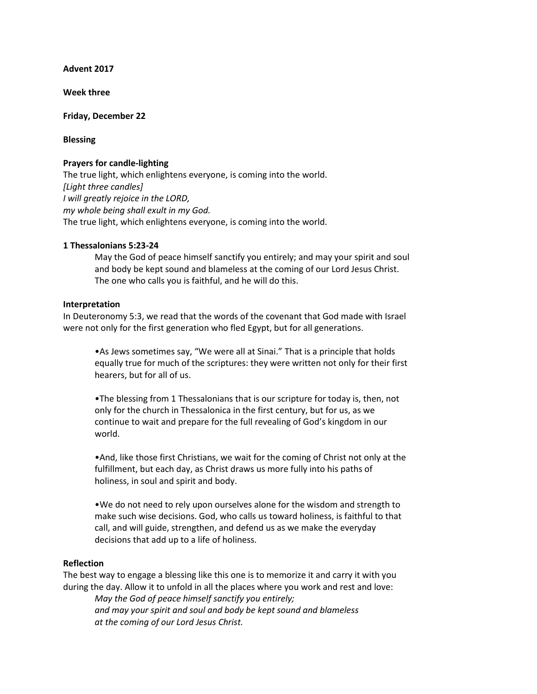**Advent 2017**

**Week three**

### **Friday, December 22**

# **Blessing**

# **Prayers for candle-lighting**

The true light, which enlightens everyone, is coming into the world. *[Light three candles] I will greatly rejoice in the LORD, my whole being shall exult in my God.* The true light, which enlightens everyone, is coming into the world.

# **1 Thessalonians 5:23-24**

May the God of peace himself sanctify you entirely; and may your spirit and soul and body be kept sound and blameless at the coming of our Lord Jesus Christ. The one who calls you is faithful, and he will do this.

#### **Interpretation**

In Deuteronomy 5:3, we read that the words of the covenant that God made with Israel were not only for the first generation who fled Egypt, but for all generations.

•As Jews sometimes say, "We were all at Sinai." That is a principle that holds equally true for much of the scriptures: they were written not only for their first hearers, but for all of us.

•The blessing from 1 Thessalonians that is our scripture for today is, then, not only for the church in Thessalonica in the first century, but for us, as we continue to wait and prepare for the full revealing of God's kingdom in our world.

•And, like those first Christians, we wait for the coming of Christ not only at the fulfillment, but each day, as Christ draws us more fully into his paths of holiness, in soul and spirit and body.

•We do not need to rely upon ourselves alone for the wisdom and strength to make such wise decisions. God, who calls us toward holiness, is faithful to that call, and will guide, strengthen, and defend us as we make the everyday decisions that add up to a life of holiness.

# **Reflection**

The best way to engage a blessing like this one is to memorize it and carry it with you during the day. Allow it to unfold in all the places where you work and rest and love:

*May the God of peace himself sanctify you entirely; and may your spirit and soul and body be kept sound and blameless at the coming of our Lord Jesus Christ.*